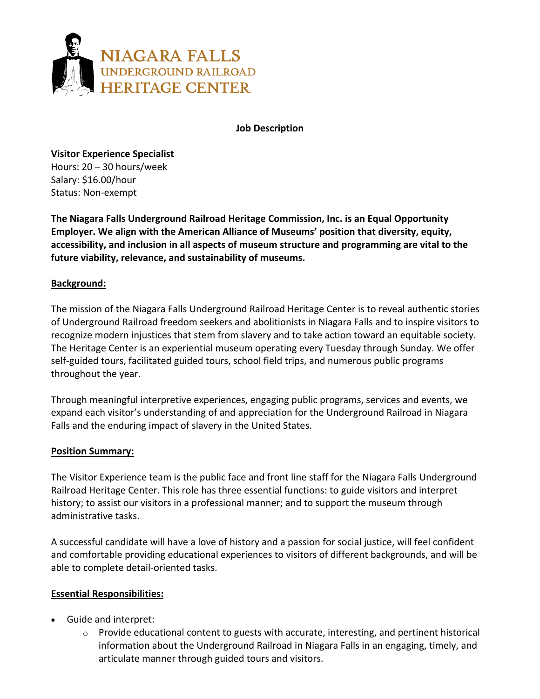

**Job Description**

**Visitor Experience Specialist** Hours: 20 – 30 hours/week Salary: \$16.00/hour Status: Non-exempt

**The Niagara Falls Underground Railroad Heritage Commission, Inc. is an Equal Opportunity Employer. We align with the American Alliance of Museums' position that diversity, equity, accessibility, and inclusion in all aspects of museum structure and programming are vital to the future viability, relevance, and sustainability of museums.** 

# **Background:**

The mission of the Niagara Falls Underground Railroad Heritage Center is to reveal authentic stories of Underground Railroad freedom seekers and abolitionists in Niagara Falls and to inspire visitors to recognize modern injustices that stem from slavery and to take action toward an equitable society. The Heritage Center is an experiential museum operating every Tuesday through Sunday. We offer self-guided tours, facilitated guided tours, school field trips, and numerous public programs throughout the year.

Through meaningful interpretive experiences, engaging public programs, services and events, we expand each visitor's understanding of and appreciation for the Underground Railroad in Niagara Falls and the enduring impact of slavery in the United States.

# **Position Summary:**

The Visitor Experience team is the public face and front line staff for the Niagara Falls Underground Railroad Heritage Center. This role has three essential functions: to guide visitors and interpret history; to assist our visitors in a professional manner; and to support the museum through administrative tasks.

A successful candidate will have a love of history and a passion for social justice, will feel confident and comfortable providing educational experiences to visitors of different backgrounds, and will be able to complete detail-oriented tasks.

### **Essential Responsibilities:**

- Guide and interpret:
	- $\circ$  Provide educational content to guests with accurate, interesting, and pertinent historical information about the Underground Railroad in Niagara Falls in an engaging, timely, and articulate manner through guided tours and visitors.